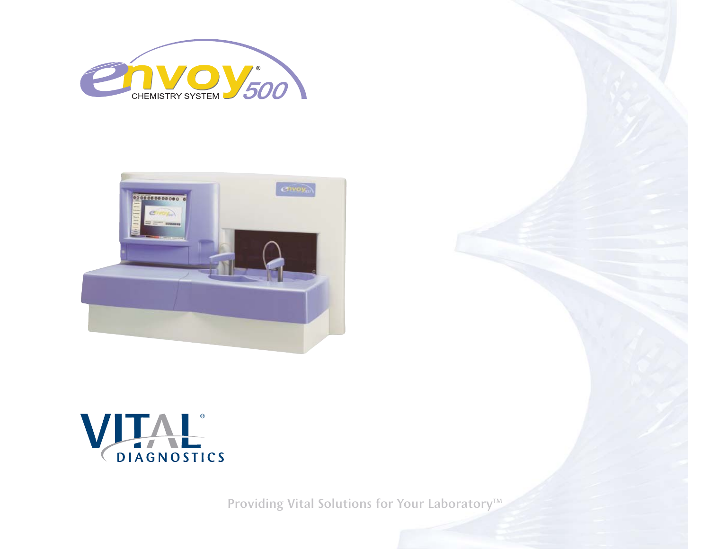





Providing Vital Solutions for Your Laboratory<sup>™</sup>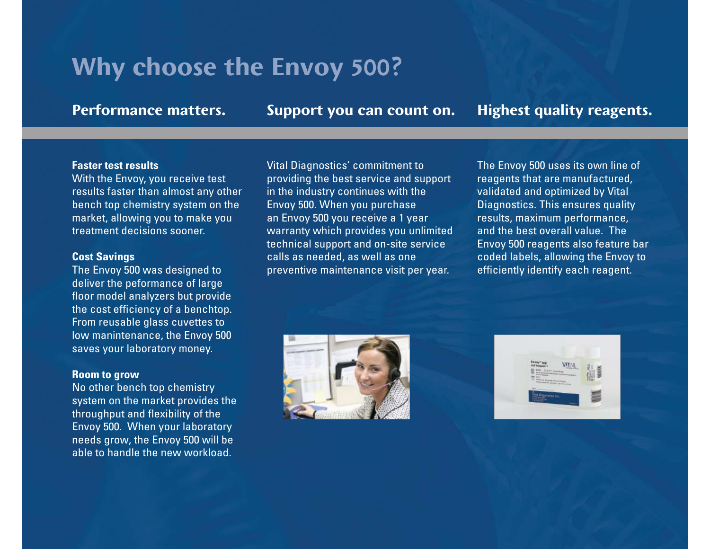# **Why choose the Envoy 500?**

**Performance matters.**

**Support you can count on. Highest quality reagents.**

### **Faster test results**

With the Envoy, you receive test results faster than almost any other bench top chemistry system on the market, allowing you to make you treatment decisions sooner.

### **Cost Savings**

The Envoy 500 was designed to deliver the peformance of large floor model analyzers but provide the cost efficiency of a benchtop. From reusable glass cuvettes to low manintenance, the Envoy 500 saves your laboratory money.

## **Room to grow**

No other bench top chemistry system on the market provides the throughput and flexibility of the Envoy 500. When your laboratory needs grow, the Envoy 500 will be able to handle the new workload.

Vital Diagnostics' commitment to providing the best service and support in the industry continues with the Envoy 500. When you purchase an Envoy 500 you receive a 1 year warranty which provides you unlimited technical support and on-site service calls as needed, as well as one preventive maintenance visit per year.

The Envoy 500 uses its own line of reagents that are manufactured, validated and optimized by Vital Diagnostics. This ensures quality results, maximum performance, and the best overall value. The Envoy 500 reagents also feature bar coded labels, allowing the Envoy to efficiently identify each reagent.



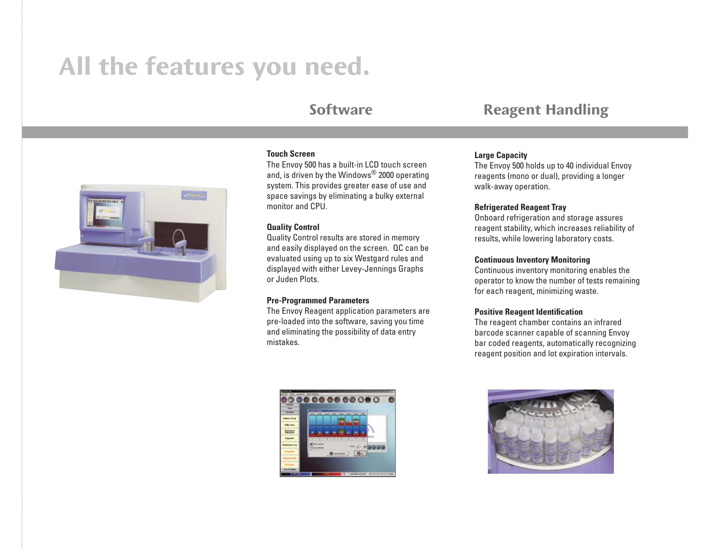# **All the features you need.**

## **Software**



#### **Touch Screen**

The Envoy 500 has a built-in LCD touch screen and, is driven by the Windows® 2000 operating system. This provides greater ease of use and space savings by eliminating a bulky external monitor and CPU.

#### **Quality Control**

Quality Control results are stored in memory and easily displayed on the screen. QC can be evaluated using up to six Westgard rules and displayed with either Levey-Jennings Graphs or Juden Plots.

#### **Pre-Programmed Parameters**

The Envoy Reagent application parameters are pre-loaded into the software, saving you time and eliminating the possibility of data entry mistakes.



#### **Large Capacity**

The Envoy 500 holds up to 40 individual Envoy reagents (mono or dual), providing a longer walk-away operation.

#### **Refrigerated Reagent Tray**

Onboard refrigeration and storage assures reagent stability, which increases reliability of results, while lowering laboratory costs.

#### **Continuous Inventory Monitoring**

Continuous inventory monitoring enables the operator to know the number of tests remaining for each reagent, minimizing waste.

#### **Positive Reagent Identification**

The reagent chamber contains an infrared barcode scanner capable of scanning Envoy bar coded reagents, automatically recognizing reagent position and lot expiration intervals.



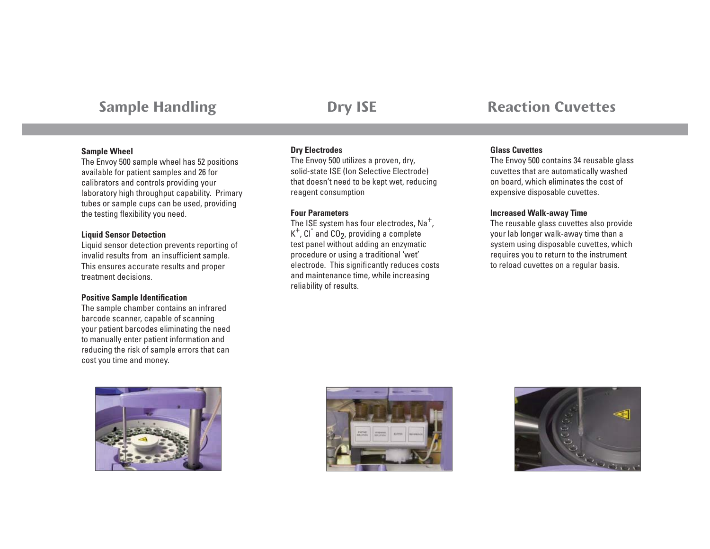# **Sample Handling**

# **Dry ISE**

#### **Sample Wheel**

The Envoy 500 sample wheel has 52 positions available for patient samples and 26 for calibrators and controls providing your laboratory high throughput capability. Primary tubes or sample cups can be used, providing the testing flexibility you need.

#### **Liquid Sensor Detection**

Liquid sensor detection prevents reporting of invalid results from an insufficient sample. This ensures accurate results and proper treatment decisions.

#### **Positive Sample Identification**

The sample chamber contains an infrared barcode scanner, capable of scanning your patient barcodes eliminating the need to manually enter patient information and reducing the risk of sample errors that can cost you time and money.



#### **Dry Electrodes**

The Envoy 500 utilizes a proven, dry, solid-state ISE (Ion Selective Electrode) that doesn't need to be kept wet, reducing reagent consumption

#### **Four Parameters**

The ISE system has four electrodes,  $Na<sup>+</sup>$ ,  $K^+$ , Cl and CO<sub>2</sub>, providing a complete test panel without adding an enzymatic procedure or using a traditional 'wet' electrode. This significantly reduces costs and maintenance time, while increasing reliability of results.

## **Reaction Cuvettes**

#### **Glass Cuvettes**

The Envoy 500 contains 34 reusable glass cuvettes that are automatically washed on board, which eliminates the cost of expensive disposable cuvettes.

#### **Increased Walk-away Time**

The reusable glass cuvettes also provide your lab longer walk-away time than a system using disposable cuvettes, which requires you to return to the instrument to reload cuvettes on a regular basis.



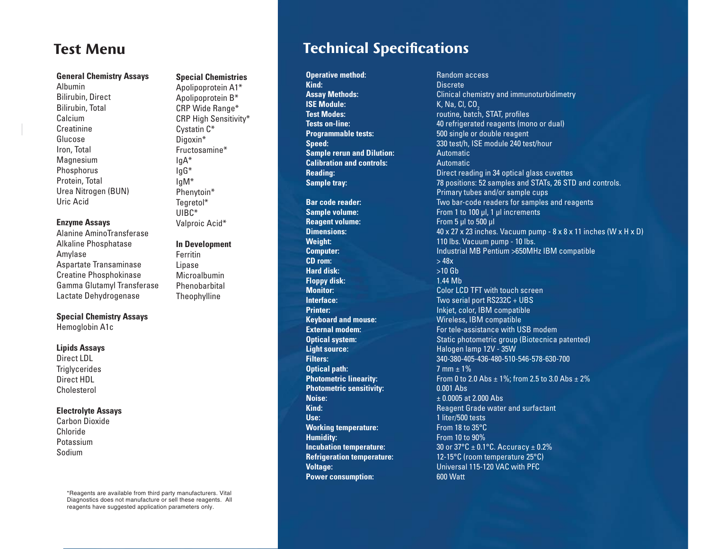# **Test Menu**

#### **General Chemistry Assays**

AlbuminBilirubin, Direct Bilirubin, Total Calcium**Creatinine** GlucoseIron, Total Magnesium Phosphorus Protein, Total Urea Nitrogen (BUN) Uric Acid

#### **Enzyme Assays**

Alanine AminoTransferase Alkaline Phosphatase Amylase Aspartate Transaminase Creatine Phosphokinase Gamma Glutamyl Transferase Lactate Dehydrogenase

#### **Special Chemistry Assays**

Hemoglobin A1c

#### **Lipids Assays**

Direct LDL**Triglycerides** Direct HDLCholesterol

#### **Electrolyte Assays**

Carbon DioxideChloridePotassiumSodium

> \*Reagents are available from third party manufacturers. Vital Diagnostics does not manufacture or sell these reagents. All reagents have suggested application parameters only.

## **Special Chemistries**

Apolipoprotein A1\* Apolipoprotein B\* CRP Wide Range\* CRP High Sensitivity\* Cystatin C\* Digoxin\* Fructosamine\*IgA\* IgG\* IgM\* Phenytoin\* Tegretol\* UIBC\*Valproic Acid\*

#### **In Development**

FerritinLipase MicroalbuminPhenobarbitalTheophylline

# **Technical Specifications**

**Operative method:** Random access<br>**Kind:** Random access Ring: Random access **ISE Module:** K, Na, Cl, CO<sub>2</sub><br> **Test Modes:** New Youtine, batch **Sample rerun and Dilution:** Automatic **Calibration and controls:** Automatic

**Reagent volume:** From 5 µl to 500 µl **CD rom:**  $> 48x$ **Hard disk:**  $>10$  Gb **Floppy disk:** 1.44 Mb **Light source:** The Malogen lamp 12V - 35W **Optical path:** 7 mm  $\pm$  1% **Photometric sensitivity:** 0.001 Abs **Noise:** ± 0.0005 at 2.000 Abs**Use:** 1 liter/500 tests **Working temperature:** From 18 to 35°C **Humidity:** From 10 to 90% **Power consumption:** 600 Watt

**Kind:** Discrete**Assay Methods:** Clinical chemistry and immunoturbidimetry **Test Modes:** routine, batch, STAT, profiles **Tests on-line:**  $\qquad \qquad 40$  refrigerated reagents (mono or dual) **Programmable tests:** 500 single or double reagent **Speed:** 330 test/h, ISE module 240 test/hour **Reading: Reading: Direct reading in 34 optical glass cuvettes Sample tray:** The samples and STATs, 26 STD and controls. Primary tubes and/or sample cups **Bar code reader:** Two bar-code readers for samples and reagents **Sample volume:** From 1 to 100 µl, 1 µl increments **Dimensions:**  $40 \times 27 \times 23$  inches. Vacuum pump - 8 x 8 x 11 inches (W x H x D) **Weight:** 110 lbs. Vacuum pump - 10 lbs. **Computer:** Industrial MB Pentium >650MHz IBM compatible **Monitor:** Color LCD TFT with touch screen **Interface:** Two serial port RS232C + UBS **Printer:** Inkjet, color, IBM compatible **Keyboard and mouse:** Wireless, IBM compatible **External modem:** For tele-assistance with USB modem **Optical system:** Static photometric group (Biotecnica patented) **Filters:** 340-380-405-436-480-510-546-578-630-700**Photometric linearity:** From 0 to 2.0 Abs  $\pm$  1%; from 2.5 to 3.0 Abs  $\pm$  2% **Kind:** Reagent Grade water and surfactant **Incubation temperature:** 30 or 37°C ± 0.1°C. Accuracy ± 0.2% **Refrigeration temperature:** 12-15°C (room temperature 25°C) **Voltage:** Universal 115-120 VAC with PFC